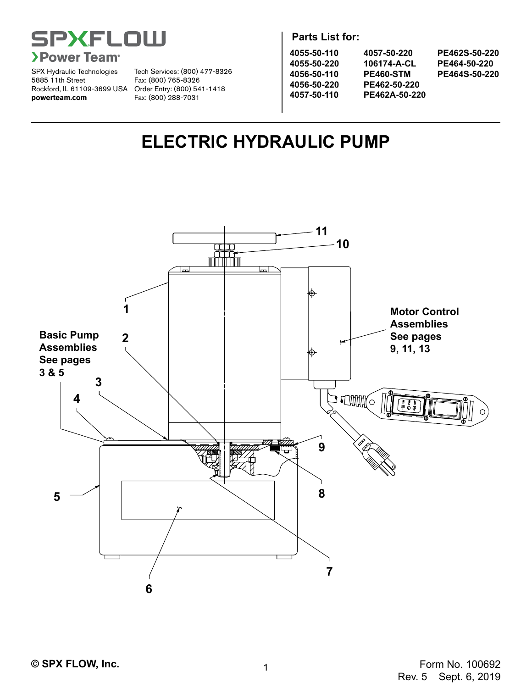

SPX Hydraulic Technologies 5885 11th Street Rockford, IL 61109-3699 USA Order Entry: (800) 541-1418 **powerteam.com** Fax: (800) 288-7031

Tech Services: (800) 477-8326 Fax: (800) 765-8326

**Parts List for:**

| 4055-50-110 | 4057-50-220      | PE462S-50-220 |
|-------------|------------------|---------------|
| 4055-50-220 | 106174-A-CL      | PE464-50-220  |
| 4056-50-110 | <b>PE460-STM</b> | PE464S-50-220 |
| 4056-50-220 | PE462-50-220     |               |
| 4057-50-110 | PE462A-50-220    |               |
|             |                  |               |
|             |                  |               |

# **ELECTRIC HYDRAULIC PUMP**

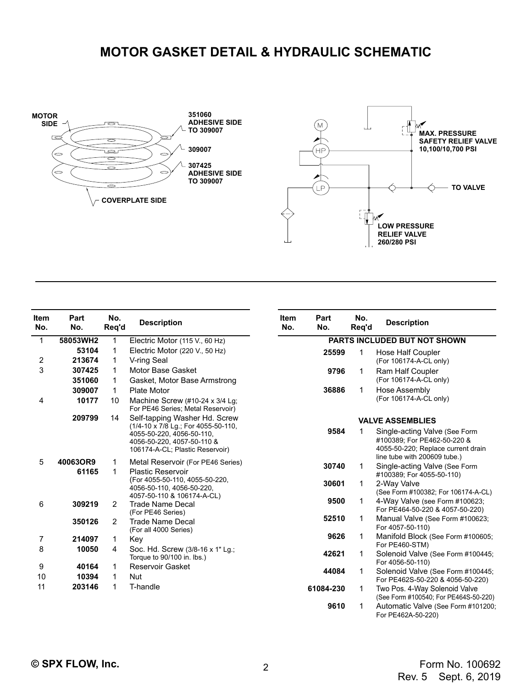### **MOTOR GASKET DETAIL & HYDRAULIC SCHEMATIC**





| <b>Item</b><br>No. | Part<br>No. | No.<br>Req'd   | <b>Description</b>                                                                                                                                                 | <b>Item</b><br>No. | Pa<br>N |
|--------------------|-------------|----------------|--------------------------------------------------------------------------------------------------------------------------------------------------------------------|--------------------|---------|
| 1                  | 58053WH2    | 1              | Electric Motor (115 V., 60 Hz)                                                                                                                                     |                    |         |
|                    | 53104       | 1              | Electric Motor (220 V., 50 Hz)                                                                                                                                     |                    |         |
| 2                  | 213674      | 1              | V-ring Seal                                                                                                                                                        |                    |         |
| 3                  | 307425      | 1              | Motor Base Gasket                                                                                                                                                  |                    |         |
|                    | 351060      | 1              | Gasket, Motor Base Armstrong                                                                                                                                       |                    |         |
|                    | 309007      | 1              | Plate Motor                                                                                                                                                        |                    |         |
| 4                  | 10177       | 10             | Machine Screw (#10-24 x 3/4 Lg;<br>For PE46 Series; Metal Reservoir)                                                                                               |                    |         |
|                    | 209799      | 14             | Self-tapping Washer Hd. Screw<br>(1/4-10 x 7/8 Lg.; For 4055-50-110,<br>4055-50-220, 4056-50-110,<br>4056-50-220, 4057-50-110 &<br>106174-A-CL; Plastic Reservoir) |                    |         |
| 5                  | 40063OR9    | 1              | Metal Reservoir (For PE46 Series)                                                                                                                                  |                    |         |
|                    | 61165       | 1              | <b>Plastic Reservoir</b><br>(For 4055-50-110, 4055-50-220,<br>4056-50-110, 4056-50-220,<br>4057-50-110 & 106174-A-CL)                                              |                    |         |
| 6                  | 309219      | 2              | <b>Trade Name Decal</b><br>(For PE46 Series)                                                                                                                       |                    |         |
|                    | 350126      | $\overline{c}$ | <b>Trade Name Decal</b><br>(For all 4000 Series)                                                                                                                   |                    |         |
| 7                  | 214097      | 1              | Key                                                                                                                                                                |                    |         |
| 8                  | 10050       | 4              | Soc. Hd. Screw (3/8-16 x 1" Lg.;<br>Torque to 90/100 in. lbs.)                                                                                                     |                    |         |
| 9                  | 40164       | 1              | Reservoir Gasket                                                                                                                                                   |                    |         |
| 10                 | 10394       | 1              | <b>Nut</b>                                                                                                                                                         |                    |         |
| 11                 | 203146      | 1              | T-handle                                                                                                                                                           |                    | 6108    |
|                    |             |                |                                                                                                                                                                    |                    |         |

| Part<br>tem<br>No.<br>No. | No.<br>Reg'd | <b>Description</b>                                                                                                                 |  |  |  |
|---------------------------|--------------|------------------------------------------------------------------------------------------------------------------------------------|--|--|--|
|                           |              | <b>PARTS INCLUDED BUT NOT SHOWN</b>                                                                                                |  |  |  |
| 25599                     | 1            | Hose Half Coupler<br>(For 106174-A-CL only)                                                                                        |  |  |  |
| 9796                      | 1            | <b>Ram Half Coupler</b><br>(For 106174-A-CL only)                                                                                  |  |  |  |
| 36886                     | 1            | Hose Assembly<br>(For 106174-A-CL only)                                                                                            |  |  |  |
|                           |              | <b>VALVE ASSEMBLIES</b>                                                                                                            |  |  |  |
| 9584                      | 1            | Single-acting Valve (See Form<br>#100389; For PE462-50-220 &<br>4055-50-220; Replace current drain<br>line tube with 200609 tube.) |  |  |  |
| 30740                     | 1            | Single-acting Valve (See Form<br>#100389; For 4055-50-110)                                                                         |  |  |  |
| 30601                     | 1            | 2-Way Valve<br>(See Form #100382; For 106174-A-CL)                                                                                 |  |  |  |
| 9500                      | 1            | 4-Way Valve (see Form #100623;<br>For PE464-50-220 & 4057-50-220)                                                                  |  |  |  |
| 52510                     | 1            | Manual Valve (See Form #100623;<br>For 4057-50-110)                                                                                |  |  |  |
| 9626                      | 1            | Manifold Block (See Form #100605;<br>For PE460-STM)                                                                                |  |  |  |
| 42621                     | 1            | Solenoid Valve (See Form #100445;<br>For 4056-50-110)                                                                              |  |  |  |
| 44084                     | 1            | Solenoid Valve (See Form #100445;<br>For PE462S-50-220 & 4056-50-220)                                                              |  |  |  |
| 61084-230                 | 1            | Two Pos. 4-Way Solenoid Valve<br>(See Form #100540; For PE464S-50-220)                                                             |  |  |  |
| 9610                      | 1            | Automatic Valve (See Form #101200;<br>For PE462A-50-220)                                                                           |  |  |  |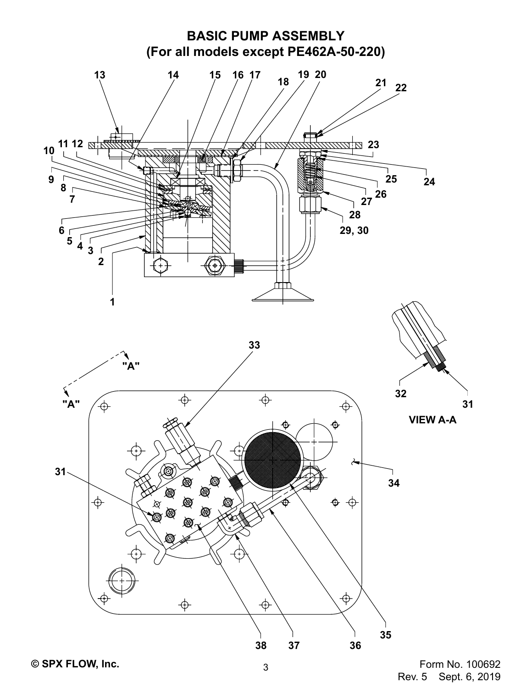

Sept. 6, 2019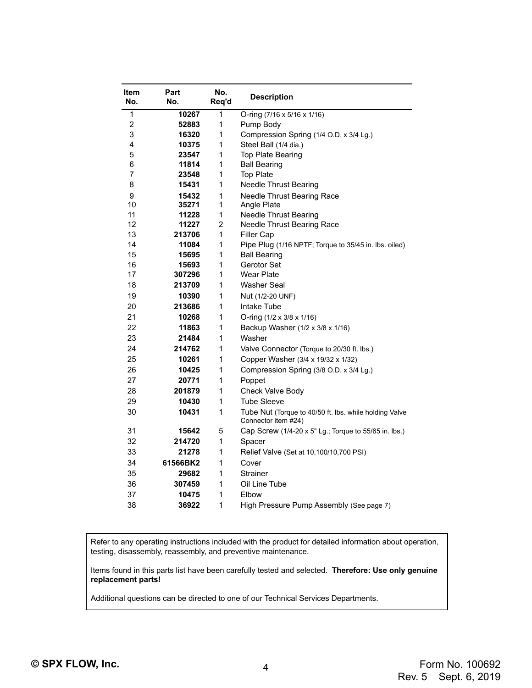| Item<br>No. | Part<br>No. | No.<br>Req'd | <b>Description</b>                                                            |  |  |
|-------------|-------------|--------------|-------------------------------------------------------------------------------|--|--|
| 1           | 10267       | 1            | O-ring (7/16 x 5/16 x 1/16)                                                   |  |  |
| 2           | 52883       | 1            | Pump Body                                                                     |  |  |
| 3           | 16320       | 1            | Compression Spring (1/4 O.D. x 3/4 Lg.)                                       |  |  |
| 4           | 10375       | 1            | Steel Ball (1/4 dia.)                                                         |  |  |
| 5           | 23547       | 1            | Top Plate Bearing                                                             |  |  |
| 6           | 11814       | 1            | <b>Ball Bearing</b>                                                           |  |  |
| 7           | 23548       | 1            | <b>Top Plate</b>                                                              |  |  |
| 8           | 15431       | 1            | <b>Needle Thrust Bearing</b>                                                  |  |  |
| 9           | 15432       | 1            | Needle Thrust Bearing Race                                                    |  |  |
| 10          | 35271       | 1            | Angle Plate                                                                   |  |  |
| 11          | 11228       | 1            | <b>Needle Thrust Bearing</b>                                                  |  |  |
| 12          | 11227       | 2            | Needle Thrust Bearing Race                                                    |  |  |
| 13          | 213706      | 1            | <b>Filler Cap</b>                                                             |  |  |
| 14          | 11084       | 1            | Pipe Plug (1/16 NPTF; Torque to 35/45 in. lbs. oiled)                         |  |  |
| 15          | 15695       | 1            | <b>Ball Bearing</b>                                                           |  |  |
| 16          | 15693       | 1            | Gerotor Set                                                                   |  |  |
| 17          | 307296      | 1            | <b>Wear Plate</b>                                                             |  |  |
| 18          | 213709      | 1            | Washer Seal                                                                   |  |  |
| 19          | 10390       | 1            | Nut (1/2-20 UNF)                                                              |  |  |
| 20          | 213686      | 1            | Intake Tube                                                                   |  |  |
| 21          | 10268       | 1            | O-ring $(1/2 \times 3/8 \times 1/16)$                                         |  |  |
| 22          | 11863       | 1            | Backup Washer (1/2 x 3/8 x 1/16)                                              |  |  |
| 23          | 21484       | 1            | Washer                                                                        |  |  |
| 24          | 214762      | 1            | Valve Connector (Torque to 20/30 ft. lbs.)                                    |  |  |
| 25          | 10261       | 1            | Copper Washer (3/4 x 19/32 x 1/32)                                            |  |  |
| 26          | 10425       | 1            | Compression Spring (3/8 O.D. x 3/4 Lg.)                                       |  |  |
| 27          | 20771       | 1            | Poppet                                                                        |  |  |
| 28          | 201879      | 1            | Check Valve Body                                                              |  |  |
| 29          | 10430       | 1            | Tube Sleeve                                                                   |  |  |
| 30          | 10431       | 1            | Tube Nut (Torque to 40/50 ft. lbs. while holding Valve<br>Connector item #24) |  |  |
| 31          | 15642       | 5            | Cap Screw (1/4-20 x 5" Lg.; Torque to 55/65 in. lbs.)                         |  |  |
| 32          | 214720      | 1            | Spacer                                                                        |  |  |
| 33          | 21278       | 1            | Relief Valve (Set at 10,100/10,700 PSI)                                       |  |  |
| 34          | 61566BK2    | 1            | Cover                                                                         |  |  |
| 35          | 29682       | 1            | Strainer                                                                      |  |  |
| 36          | 307459      | 1            | Oil Line Tube                                                                 |  |  |
| 37          | 10475       | 1            | Elbow                                                                         |  |  |
| 38          | 36922       | 1            | High Pressure Pump Assembly (See page 7)                                      |  |  |

Refer to any operating instructions included with the product for detailed information about operation, testing, disassembly, reassembly, and preventive maintenance.

Items found in this parts list have been carefully tested and selected. **Therefore: Use only genuine replacement parts!**

Additional questions can be directed to one of our Technical Services Departments.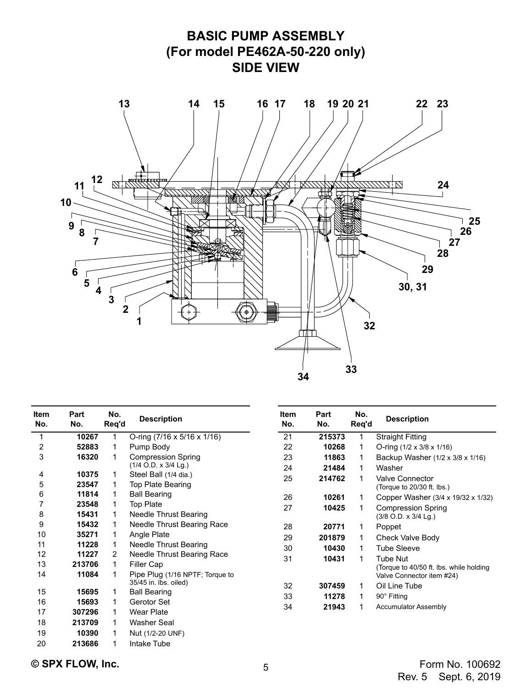

| <b>Item</b><br>No. | Part<br>No. | No.<br>Req'd   | <b>Description</b>                                       |  |  |
|--------------------|-------------|----------------|----------------------------------------------------------|--|--|
| 1                  | 10267       | 1              | O-ring $(7/16 \times 5/16 \times 1/16)$                  |  |  |
| 2                  | 52883       | 1              | Pump Body                                                |  |  |
| 3                  | 16320       | 1              | <b>Compression Spring</b><br>$(1/4$ O.D. x 3/4 Lg.)      |  |  |
| 4                  | 10375       | 1              | Steel Ball (1/4 dia.)                                    |  |  |
| 5                  | 23547       | 1              | Top Plate Bearing                                        |  |  |
| 6                  | 11814       | 1              | Ball Bearing                                             |  |  |
| 7                  | 23548       | 1              | <b>Top Plate</b>                                         |  |  |
| 8                  | 15431       | 1              | Needle Thrust Bearing                                    |  |  |
| 9                  | 15432       | 1              | Needle Thrust Bearing Race                               |  |  |
| 10                 | 35271       | 1              | Angle Plate                                              |  |  |
| 11                 | 11228       | 1              | Needle Thrust Bearing                                    |  |  |
| 12                 | 11227       | $\overline{2}$ | Needle Thrust Bearing Race                               |  |  |
| 13                 | 213706      | 1              | <b>Filler Cap</b>                                        |  |  |
| 14                 | 11084       | 1              | Pipe Plug (1/16 NPTF; Torque to<br>35/45 in. lbs. oiled) |  |  |
| 15                 | 15695       | 1              | Ball Bearing                                             |  |  |
| 16                 | 15693       | 1              | Gerotor Set                                              |  |  |
| 17                 | 307296      | 1              | Wear Plate                                               |  |  |
| 18                 | 213709      | 1              | Washer Seal                                              |  |  |
| 19                 | 10390       | 1              | Nut (1/2-20 UNF)                                         |  |  |
| 20                 | 213686      | 1              | Intake Tube                                              |  |  |

| ltem<br>No. | Part<br>No. | No.<br>Req'd | <b>Description</b>                                                               |  |
|-------------|-------------|--------------|----------------------------------------------------------------------------------|--|
| 21          | 215373      | 1            | <b>Straight Fitting</b>                                                          |  |
| 22          | 10268       | 1            | O-ring $(1/2 \times 3/8 \times 1/16)$                                            |  |
| 23          | 11863       | 1            | Backup Washer (1/2 x 3/8 x 1/16)                                                 |  |
| 24          | 21484       | 1            | Washer                                                                           |  |
| 25          | 214762      | 1            | Valve Connector<br>(Torque to 20/30 ft. lbs.)                                    |  |
| 26          | 10261       | 1            | Copper Washer (3/4 x 19/32 x 1/32)                                               |  |
| 27          | 10425       | 1            | <b>Compression Spring</b><br>$(3/8$ O.D. x $3/4$ Lg.)                            |  |
| 28          | 20771       | 1            | Poppet                                                                           |  |
| 29          | 201879      | 1            | Check Valve Body                                                                 |  |
| 30          | 10430       | 1            | <b>Tube Sleeve</b>                                                               |  |
| 31          | 10431       | 1            | Tube Nut<br>(Torque to 40/50 ft. lbs. while holding<br>Valve Connector item #24) |  |
| 32          | 307459      | 1            | Oil Line Tube                                                                    |  |
| 33          | 11278       | 1            | 90° Fitting                                                                      |  |
| 34          | 21943       | 1            | <b>Accumulator Assembly</b>                                                      |  |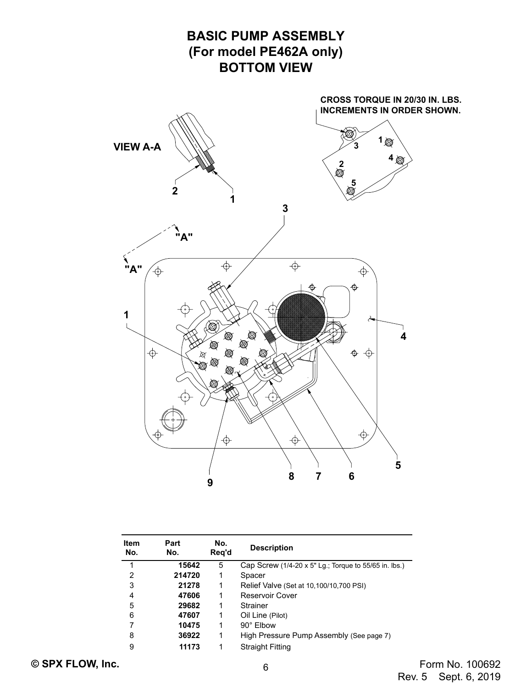

| Item<br>No. | Part<br>No. | No.<br>Reg'd | <b>Description</b>                                           |  |
|-------------|-------------|--------------|--------------------------------------------------------------|--|
| 1           | 15642       | 5            | Cap Screw $(1/4-20 \times 5"$ Lg.; Torque to 55/65 in. lbs.) |  |
| 2           | 214720      | 1            | Spacer                                                       |  |
| 3           | 21278       | 1            | Relief Valve (Set at 10,100/10,700 PSI)                      |  |
| 4           | 47606       | 1            | Reservoir Cover                                              |  |
| 5           | 29682       | 1            | Strainer                                                     |  |
| 6           | 47607       | 1            | Oil Line (Pilot)                                             |  |
| 7           | 10475       | 1            | 90° Elbow                                                    |  |
| 8           | 36922       | 1            | High Pressure Pump Assembly (See page 7)                     |  |
| 9           | 11173       | 1            | <b>Straight Fitting</b>                                      |  |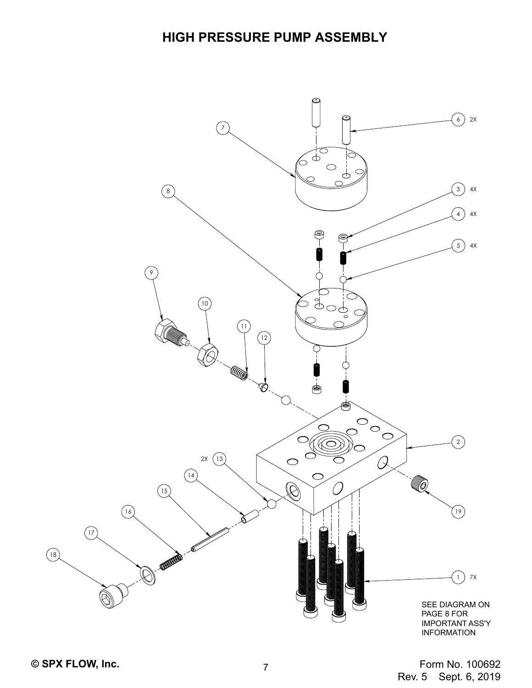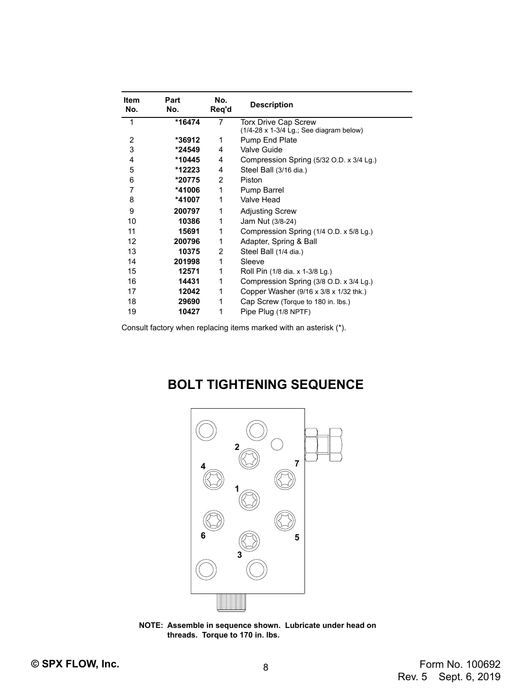| Item<br>No. | Part<br>No. | No.<br>Reg'd | <b>Description</b>                             |  |  |
|-------------|-------------|--------------|------------------------------------------------|--|--|
| 1           | *16474      | 7            | <b>Torx Drive Cap Screw</b>                    |  |  |
|             |             |              | $(1/4-28 \times 1-3/4$ Lg.; See diagram below) |  |  |
| 2           | *36912      | 1            | Pump End Plate                                 |  |  |
| 3           | *24549      | 4            | Valve Guide                                    |  |  |
| 4           | *10445      | 4            | Compression Spring (5/32 O.D. x 3/4 Lg.)       |  |  |
| 5           | *12223      | 4            | Steel Ball (3/16 dia.)                         |  |  |
| 6           | *20775      | 2            | Piston                                         |  |  |
| 7           | *41006      | 1            | Pump Barrel                                    |  |  |
| 8           | *41007      | 1            | Valve Head                                     |  |  |
| 9           | 200797      | 1            | <b>Adjusting Screw</b>                         |  |  |
| 10          | 10386       | 1            | Jam Nut (3/8-24)                               |  |  |
| 11          | 15691       | 1            | Compression Spring (1/4 O.D. x 5/8 Lg.)        |  |  |
| 12          | 200796      | 1            | Adapter, Spring & Ball                         |  |  |
| 13          | 10375       | 2            | Steel Ball (1/4 dia.)                          |  |  |
| 14          | 201998      | 1            | Sleeve                                         |  |  |
| 15          | 12571       | 1            | Roll Pin (1/8 dia. x 1-3/8 Lg.)                |  |  |
| 16          | 14431       | 1            | Compression Spring (3/8 O.D. x 3/4 Lg.)        |  |  |
| 17          | 12042       | 1            | Copper Washer (9/16 x 3/8 x 1/32 thk.)         |  |  |
| 18          | 29690       | 1            | Cap Screw (Torque to 180 in. lbs.)             |  |  |
| 19          | 10427       | 1            | Pipe Plug (1/8 NPTF)                           |  |  |

Consult factory when replacing items marked with an asterisk (\*).

## **BOLT TIGHTENING SEQUENCE**



**NOTE: Assemble in sequence shown. Lubricate under head on threads. Torque to 170 in. lbs.**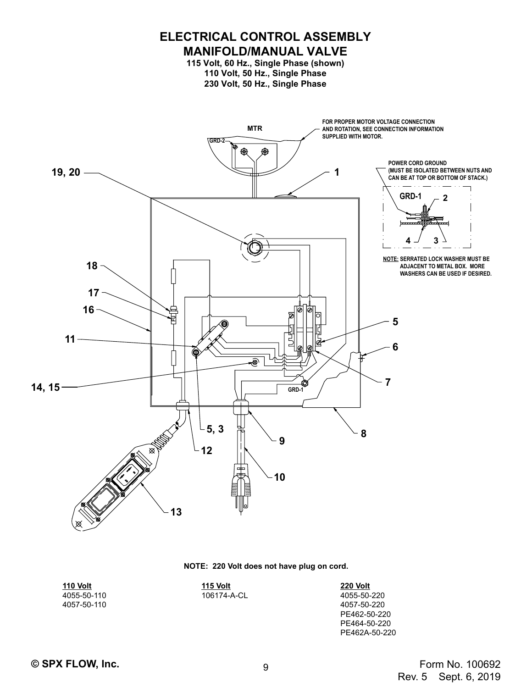

### **NOTE: 220 Volt does not have plug on cord.**

**110 Volt** 4055-50-110 4057-50-110 **115 Volt** 106174-A-CL

**220 Volt** 4055-50-220 4057-50-220 PE462-50-220 PE464-50-220 PE462A-50-220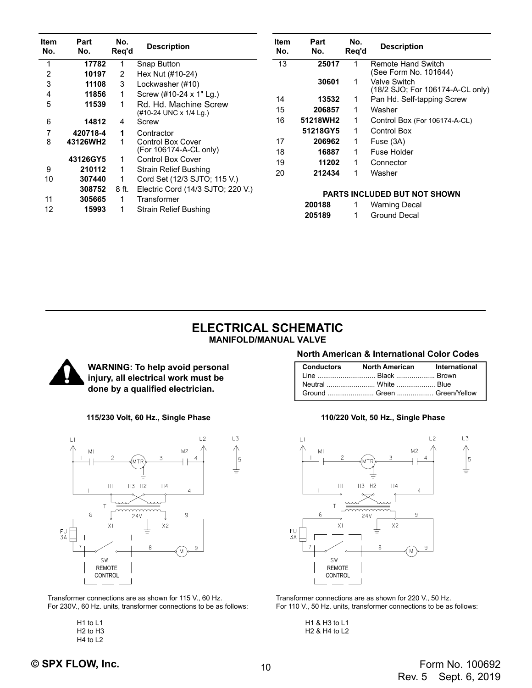| <b>Item</b><br>No. | Part<br>No.      | No.<br>Reg'd | <b>Description</b>                                    | <b>Item</b><br>No. | Part<br>No. | No.<br>Reg'd | <b>Description</b>                                      |
|--------------------|------------------|--------------|-------------------------------------------------------|--------------------|-------------|--------------|---------------------------------------------------------|
|                    | 17782            |              | Snap Button                                           | 13                 | 25017       |              | Remote Hand Switch<br>(See Form No. 101644)             |
| 2<br>3             | 10197<br>11108   | 2<br>3       | Hex Nut (#10-24)<br>Lockwasher (#10)                  |                    | 30601       |              | <b>Valve Switch</b><br>(18/2 SJO; For 106174-A-CL only) |
| 4                  | 11856            |              | Screw (#10-24 x 1" Lg.)                               | 14                 | 13532       | 1            | Pan Hd. Self-tapping Screw                              |
| 5                  | 11539            |              | Rd. Hd. Machine Screw<br>(#10-24 UNC x 1/4 Lg.)       | 15                 | 206857      | 1            | Washer                                                  |
| 6                  | 14812            | 4            | Screw                                                 | 16                 | 51218WH2    | 1            | Control Box (For 106174-A-CL)                           |
|                    | 420718-4         | 1            | Contractor                                            |                    | 51218GY5    | 1            | <b>Control Box</b>                                      |
| 8                  | 43126WH2         |              | <b>Control Box Cover</b>                              | 17                 | 206962      | 1            | Fuse (3A)                                               |
|                    |                  |              | (For 106174-A-CL only)                                | 18                 | 16887       | 1            | Fuse Holder                                             |
|                    | 43126GY5         |              | <b>Control Box Cover</b>                              | 19                 | 11202       | 1            | Connector                                               |
| 9<br>10            | 210112<br>307440 |              | Strain Relief Bushing<br>Cord Set (12/3 SJTO; 115 V.) | 20                 | 212434      | 1            | Washer                                                  |
| 11                 | 308752<br>305665 | 8 ft.        | Electric Cord (14/3 SJTO; 220 V.)<br>Transformer      |                    |             |              | <b>PARTS INCLUDED BUT NOT SHOWN</b>                     |
| 12                 | 15993            |              | Strain Relief Bushing                                 |                    | 200188      |              | <b>Warning Decal</b>                                    |
|                    |                  |              |                                                       |                    | 205189      |              | <b>Ground Decal</b>                                     |

### **ELECTRICAL SCHEMATIC MANIFOLD/MANUAL VALVE**



**WARNING: To help avoid personal injury, all electrical work must be done by a qualified electrician.**



Transformer connections are as shown for 115 V., 60 Hz. For 230V., 60 Hz. units, transformer connections to be as follows:

> H1 to L1 H2 to H3 H4 to L2

### **North American & International Color Codes**

| Conductors North American International |  |
|-----------------------------------------|--|
| Line  Black  Brown                      |  |
| Neutral White Blue                      |  |
| Ground  Green  Green/Yellow             |  |

### **115/230 Volt, 60 Hz., Single Phase 110/220 Volt, 50 Hz., Single Phase**



Transformer connections are as shown for 220 V., 50 Hz. For 110 V., 50 Hz. units, transformer connections to be as follows:

> H1 & H3 to L1 H2 & H4 to L2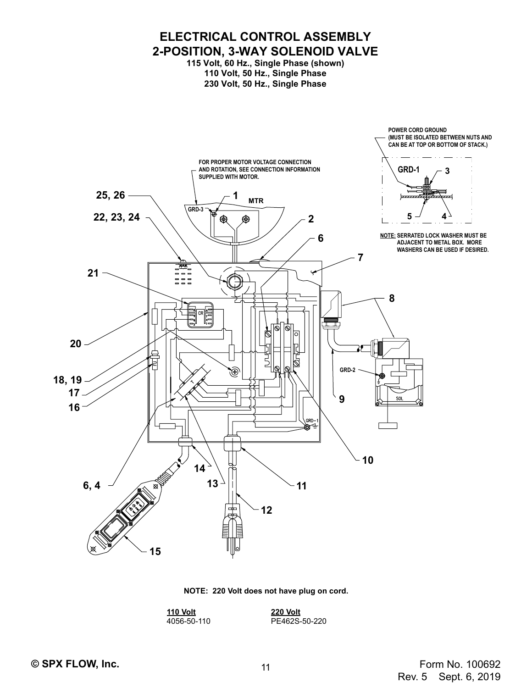

**NOTE: 220 Volt does not have plug on cord.**

**110 Volt** 4056-50-110 **220 Volt** PE462S-50-220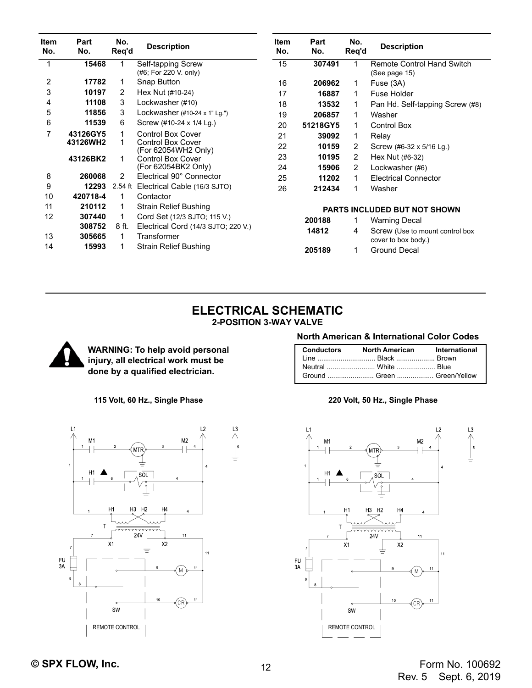| <b>Item</b><br>No. | Part<br>No.      | No.<br>Req'd  | <b>Description</b>                                 | <b>Item</b><br>No. | Part<br>No. | No.<br>Reg'd | <b>Description</b>                                     |
|--------------------|------------------|---------------|----------------------------------------------------|--------------------|-------------|--------------|--------------------------------------------------------|
|                    | 15468            |               | Self-tapping Screw<br>(#6; For 220 V. only)        | 15                 | 307491      |              | <b>Remote Control Hand Switch</b><br>(See page 15)     |
| 2                  | 17782            | 1             | Snap Button                                        | 16                 | 206962      | 1            | Fuse (3A)                                              |
| 3                  | 10197            | 2             | Hex Nut (#10-24)                                   | 17                 | 16887       | 1            | Fuse Holder                                            |
| 4                  | 11108            | 3             | Lockwasher (#10)                                   | 18                 | 13532       | 1            | Pan Hd. Self-tapping Screw (#8)                        |
| 5                  | 11856            | 3             | Lockwasher $(\#10-24 \times 1"$ Lg.")              | 19                 | 206857      | 1            | Washer                                                 |
| 6                  | 11539            | 6             | Screw (#10-24 x 1/4 Lg.)                           | 20                 | 51218GY5    |              | Control Box                                            |
| 7                  | 43126GY5         |               | <b>Control Box Cover</b>                           | 21                 | 39092       | 1            | Relay                                                  |
|                    | 43126WH2         |               | <b>Control Box Cover</b><br>(For 62054WH2 Only)    | 22                 | 10159       | 2            | Screw (#6-32 x 5/16 Lg.)                               |
|                    | 43126BK2         | 1             | <b>Control Box Cover</b>                           | 23                 | 10195       | 2            | Hex Nut (#6-32)                                        |
|                    |                  |               | (For 62054BK2 Only)                                | 24                 | 15906       | 2            | Lockwasher (#6)                                        |
| 8                  | 260068           | $\mathcal{P}$ | Electrical 90° Connector                           | 25                 | 11202       |              | <b>Electrical Connector</b>                            |
| 9                  | 12293            | 2.54 ft       | Electrical Cable (16/3 SJTO)                       | 26                 | 212434      |              | Washer                                                 |
| 10                 | 420718-4         | 1             | Contactor                                          |                    |             |              |                                                        |
| 11                 | 210112           |               | Strain Relief Bushing                              |                    |             |              | <b>PARTS INCLUDED BUT NOT SHOWN</b>                    |
| 12                 | 307440           | 1             | Cord Set (12/3 SJTO; 115 V.)                       |                    | 200188      |              | <b>Warning Decal</b>                                   |
| 13                 | 308752<br>305665 | 8 ft.         | Electrical Cord (14/3 SJTO; 220 V.)<br>Transformer |                    | 14812       | 4            | Screw (Use to mount control box<br>cover to box body.) |
| 14                 | 15993            |               | Strain Relief Bushing                              |                    | 205189      | 1            | <b>Ground Decal</b>                                    |

### **ELECTRICAL SCHEMATIC 2-POSITION 3-WAY VALVE**

L<sub>3</sub>



**WARNING: To help avoid personal injury, all electrical work must be done by a qualified electrician.**

### **Conductors North American International**

|  | Ground  Green  Green/Yellow |
|--|-----------------------------|

**North American & International Color Codes**

### **115 Volt, 60 Hz., Single Phase 220 Volt, 50 Hz., Single Phase**



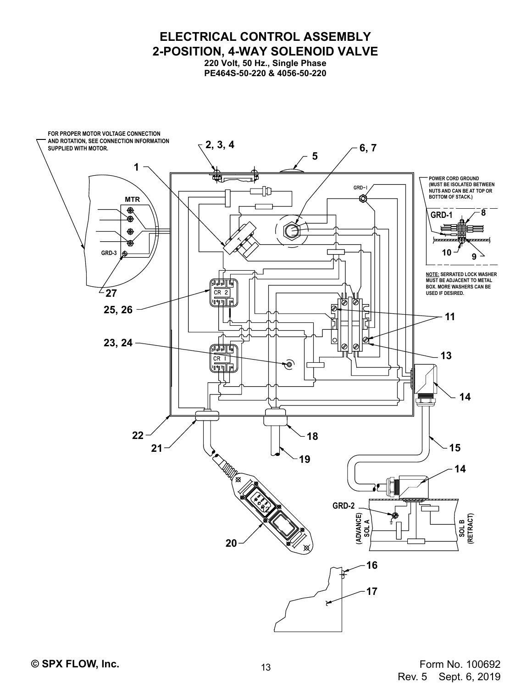**ELECTRICAL CONTROL ASSEMBLY 2-POSITION, 4-WAY SOLENOID VALVE**

**220 Volt, 50 Hz., Single Phase PE464S-50-220 & 4056-50-220**

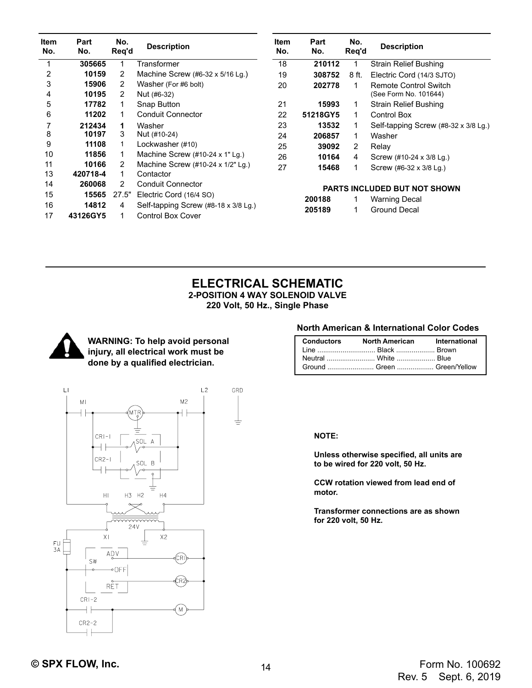| <b>Item</b><br>No. | Part<br>No. | No.<br>Reg'd | <b>Description</b>                                  | <b>Item</b><br>No.                  | Part<br>No. | No.<br>Reg'd   | <b>Description</b>                   |
|--------------------|-------------|--------------|-----------------------------------------------------|-------------------------------------|-------------|----------------|--------------------------------------|
|                    | 305665      |              | Transformer                                         | 18                                  | 210112      |                | <b>Strain Relief Bushing</b>         |
| 2                  | 10159       | 2            | Machine Screw (#6-32 x 5/16 Lg.)                    | 19                                  | 308752      | 8 ft.          | Electric Cord (14/3 SJTO)            |
| 3                  | 15906       | 2            | Washer (For #6 bolt)                                | 20                                  | 202778      | 1              | <b>Remote Control Switch</b>         |
| 4                  | 10195       | 2            | Nut (#6-32)                                         |                                     |             |                | (See Form No. 101644)                |
| 5                  | 17782       |              | Snap Button                                         | 21                                  | 15993       | 1              | <b>Strain Relief Bushing</b>         |
| 6                  | 11202       | 1            | <b>Conduit Connector</b>                            | 22                                  | 51218GY5    | 1              | <b>Control Box</b>                   |
|                    | 212434      | 1            | Washer                                              | 23                                  | 13532       | 1              | Self-tapping Screw (#8-32 x 3/8 Lg.) |
| 8                  | 10197       | 3            | Nut (#10-24)                                        | 24                                  | 206857      | 1              | Washer                               |
| 9                  | 11108       | 1            | Lockwasher (#10)                                    | 25                                  | 39092       | $\overline{2}$ | Relay                                |
| 10                 | 11856       |              | Machine Screw $(\#10-24 \times 1"$ Lg.)             | 26                                  | 10164       | 4              | Screw (#10-24 x 3/8 Lg.)             |
| 11                 | 10166       | 2            | Machine Screw (#10-24 x 1/2" Lg.)                   | 27                                  | 15468       | 1              | Screw (#6-32 x 3/8 Lg.)              |
| 13                 | 420718-4    |              | Contactor                                           |                                     |             |                |                                      |
| 14                 | 260068      | 2            | <b>Conduit Connector</b>                            | <b>PARTS INCLUDED BUT NOT SHOWN</b> |             |                |                                      |
| 15                 | 15565       | 27.5"        | Electric Cord (16/4 SO)                             |                                     | 200188      | 1              | <b>Warning Decal</b>                 |
| 16                 | 14812       | 4            | Self-tapping Screw $(\#8-18 \times 3/8 \text{ Lg})$ |                                     |             | 1              | <b>Ground Decal</b>                  |
| 17                 | 43126GY5    |              | <b>Control Box Cover</b>                            |                                     | 205189      |                |                                      |

### **ELECTRICAL SCHEMATIC 2-POSITION 4 WAY SOLENOID VALVE 220 Volt, 50 Hz., Single Phase**



**WARNING: To help avoid personal injury, all electrical work must be done by a qualified electrician.**

### **North American & International Color Codes**

| Conductors North American International |  |
|-----------------------------------------|--|
| Line  Black  Brown                      |  |
|                                         |  |
| Ground  Green  Green/Yellow             |  |

**NOTE:**

**Unless otherwise specified, all units are to be wired for 220 volt, 50 Hz.**

**CCW rotation viewed from lead end of motor.**

**Transformer connections are as shown for 220 volt, 50 Hz.**

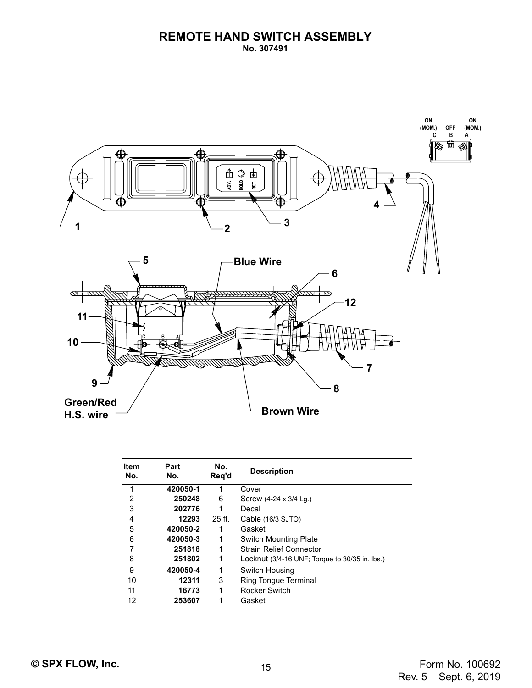

| <b>Item</b><br>No. | Part<br>No. | No.<br>Reg'd | <b>Description</b>                             |
|--------------------|-------------|--------------|------------------------------------------------|
| 1                  | 420050-1    | 1            | Cover                                          |
| 2                  | 250248      | 6            | Screw (4-24 x 3/4 Lg.)                         |
| 3                  | 202776      | 1            | Decal                                          |
| 4                  | 12293       | $25$ ft.     | Cable (16/3 SJTO)                              |
| 5                  | 420050-2    | 1            | Gasket                                         |
| 6                  | 420050-3    | 1            | <b>Switch Mounting Plate</b>                   |
| 7                  | 251818      | 1            | <b>Strain Relief Connector</b>                 |
| 8                  | 251802      | 1            | Locknut (3/4-16 UNF; Torque to 30/35 in. lbs.) |
| 9                  | 420050-4    | 1            | Switch Housing                                 |
| 10                 | 12311       | 3            | Ring Tonque Terminal                           |
| 11                 | 16773       | 1            | <b>Rocker Switch</b>                           |
| 12                 | 253607      | 1            | Gasket                                         |